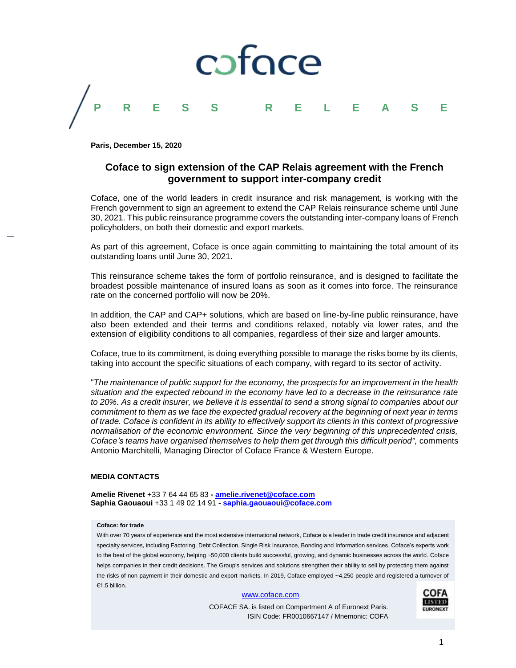

**Paris, December 15, 2020**

## **Coface to sign extension of the CAP Relais agreement with the French government to support inter-company credit**

Coface, one of the world leaders in credit insurance and risk management, is working with the French government to sign an agreement to extend the CAP Relais reinsurance scheme until June 30, 2021. This public reinsurance programme covers the outstanding inter-company loans of French policyholders, on both their domestic and export markets.

As part of this agreement, Coface is once again committing to maintaining the total amount of its outstanding loans until June 30, 2021.

This reinsurance scheme takes the form of portfolio reinsurance, and is designed to facilitate the broadest possible maintenance of insured loans as soon as it comes into force. The reinsurance rate on the concerned portfolio will now be 20%.

In addition, the CAP and CAP+ solutions, which are based on line-by-line public reinsurance, have also been extended and their terms and conditions relaxed, notably via lower rates, and the extension of eligibility conditions to all companies, regardless of their size and larger amounts.

Coface, true to its commitment, is doing everything possible to manage the risks borne by its clients, taking into account the specific situations of each company, with regard to its sector of activity.

"*The maintenance of public support for the economy, the prospects for an improvement in the health situation and the expected rebound in the economy have led to a decrease in the reinsurance rate to 20%. As a credit insurer, we believe it is essential to send a strong signal to companies about our commitment to them as we face the expected gradual recovery at the beginning of next year in terms of trade. Coface is confident in its ability to effectively support its clients in this context of progressive normalisation of the economic environment. Since the very beginning of this unprecedented crisis, Coface's teams have organised themselves to help them get through this difficult period",* comments Antonio Marchitelli, Managing Director of Coface France & Western Europe.

## **MEDIA CONTACTS**

**Amelie Rivenet** +33 7 64 44 65 83 **- [amelie.rivenet@coface.com](mailto:amelie.rivenet@coface.com) Saphia Gaouaoui** +33 1 49 02 14 91 **- [saphia.gaouaoui@coface.com](mailto:saphia.gaouaoui@coface.com)**

## **Coface: for trade**

With over 70 years of experience and the most extensive international network, Coface is a leader in trade credit insurance and adjacent specialty services, including Factoring, Debt Collection, Single Risk insurance, Bonding and Information services. Coface's experts work to the beat of the global economy, helping ~50,000 clients build successful, growing, and dynamic businesses across the world. Coface helps companies in their credit decisions. The Group's services and solutions strengthen their ability to sell by protecting them against the risks of non-payment in their domestic and export markets. In 2019, Coface employed ~4,250 people and registered a turnover of €1.5 billion.

## [www.coface.com](http://www.coface.com/)

COFACE SA. is listed on Compartment A of Euronext Paris. ISIN Code: FR0010667147 / Mnemonic: COFA